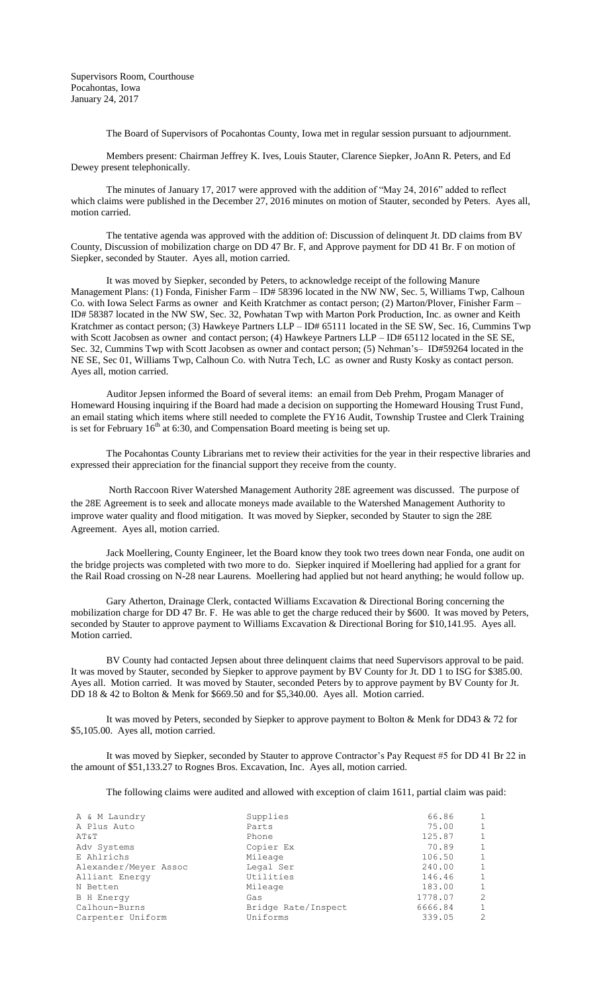Supervisors Room, Courthouse Pocahontas, Iowa January 24, 2017

The Board of Supervisors of Pocahontas County, Iowa met in regular session pursuant to adjournment.

Members present: Chairman Jeffrey K. Ives, Louis Stauter, Clarence Siepker, JoAnn R. Peters, and Ed Dewey present telephonically.

The minutes of January 17, 2017 were approved with the addition of "May 24, 2016" added to reflect which claims were published in the December 27, 2016 minutes on motion of Stauter, seconded by Peters. Ayes all, motion carried.

The tentative agenda was approved with the addition of: Discussion of delinquent Jt. DD claims from BV County, Discussion of mobilization charge on DD 47 Br. F, and Approve payment for DD 41 Br. F on motion of Siepker, seconded by Stauter. Ayes all, motion carried.

It was moved by Siepker, seconded by Peters, to acknowledge receipt of the following Manure Management Plans: (1) Fonda, Finisher Farm – ID# 58396 located in the NW NW, Sec. 5, Williams Twp, Calhoun Co. with Iowa Select Farms as owner and Keith Kratchmer as contact person; (2) Marton/Plover, Finisher Farm – ID# 58387 located in the NW SW, Sec. 32, Powhatan Twp with Marton Pork Production, Inc. as owner and Keith Kratchmer as contact person; (3) Hawkeye Partners LLP – ID# 65111 located in the SE SW, Sec. 16, Cummins Twp with Scott Jacobsen as owner and contact person; (4) Hawkeye Partners LLP – ID# 65112 located in the SE SE, Sec. 32, Cummins Twp with Scott Jacobsen as owner and contact person; (5) Nehman's– ID#59264 located in the NE SE, Sec 01, Williams Twp, Calhoun Co. with Nutra Tech, LC as owner and Rusty Kosky as contact person. Ayes all, motion carried.

Auditor Jepsen informed the Board of several items: an email from Deb Prehm, Progam Manager of Homeward Housing inquiring if the Board had made a decision on supporting the Homeward Housing Trust Fund, an email stating which items where still needed to complete the FY16 Audit, Township Trustee and Clerk Training is set for February  $16<sup>th</sup>$  at 6:30, and Compensation Board meeting is being set up.

The Pocahontas County Librarians met to review their activities for the year in their respective libraries and expressed their appreciation for the financial support they receive from the county.

North Raccoon River Watershed Management Authority 28E agreement was discussed. The purpose of the 28E Agreement is to seek and allocate moneys made available to the Watershed Management Authority to improve water quality and flood mitigation. It was moved by Siepker, seconded by Stauter to sign the 28E Agreement. Ayes all, motion carried.

Jack Moellering, County Engineer, let the Board know they took two trees down near Fonda, one audit on the bridge projects was completed with two more to do. Siepker inquired if Moellering had applied for a grant for the Rail Road crossing on N-28 near Laurens. Moellering had applied but not heard anything; he would follow up.

Gary Atherton, Drainage Clerk, contacted Williams Excavation & Directional Boring concerning the mobilization charge for DD 47 Br. F. He was able to get the charge reduced their by \$600. It was moved by Peters, seconded by Stauter to approve payment to Williams Excavation & Directional Boring for \$10,141.95. Ayes all. Motion carried.

BV County had contacted Jepsen about three delinquent claims that need Supervisors approval to be paid. It was moved by Stauter, seconded by Siepker to approve payment by BV County for Jt. DD 1 to ISG for \$385.00. Ayes all. Motion carried. It was moved by Stauter, seconded Peters by to approve payment by BV County for Jt. DD 18 & 42 to Bolton & Menk for \$669.50 and for \$5,340.00. Ayes all. Motion carried.

It was moved by Peters, seconded by Siepker to approve payment to Bolton & Menk for DD43 & 72 for \$5,105.00. Ayes all, motion carried.

It was moved by Siepker, seconded by Stauter to approve Contractor's Pay Request #5 for DD 41 Br 22 in the amount of \$51,133.27 to Rognes Bros. Excavation, Inc. Ayes all, motion carried.

The following claims were audited and allowed with exception of claim 1611, partial claim was paid:

| A & M Laundry         | Supplies            | 66.86   |   |
|-----------------------|---------------------|---------|---|
| A Plus Auto           | Parts               | 75.00   |   |
| AT&T                  | Phone               | 125.87  |   |
| Adv Systems           | Copier Ex           | 70.89   |   |
| E Ahlrichs            | Mileage             | 106.50  |   |
| Alexander/Meyer Assoc | Legal Ser           | 240.00  |   |
| Alliant Energy        | Utilities           | 146.46  |   |
| N Betten              | Mileage             | 183.00  |   |
| <b>B</b> H Energy     | Gas                 | 1778.07 | 2 |
| Calhoun-Burns         | Bridge Rate/Inspect | 6666.84 |   |
| Carpenter Uniform     | Uniforms            | 339.05  | 2 |
|                       |                     |         |   |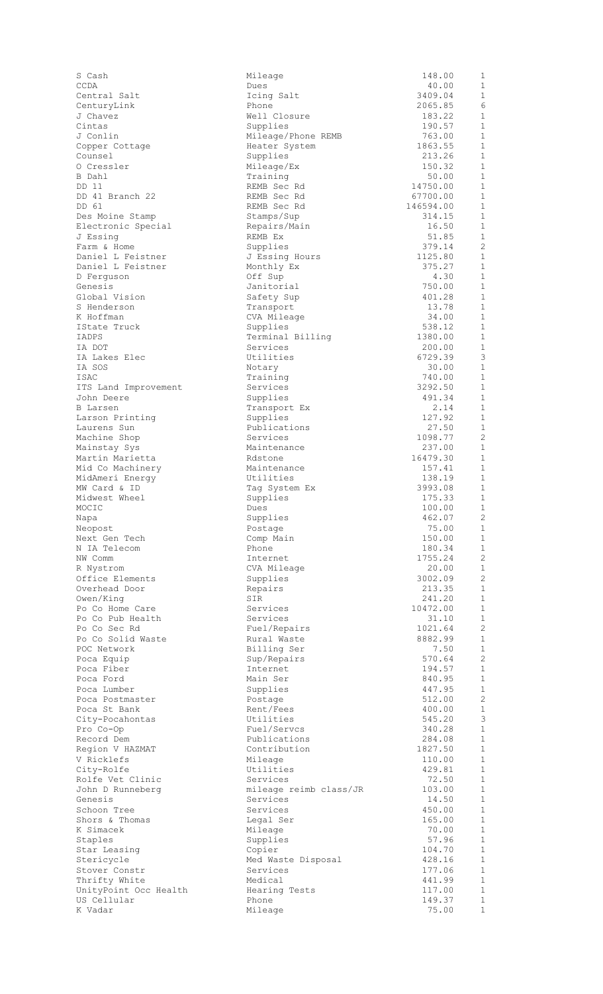| CCDA                                   |  |
|----------------------------------------|--|
| Central Salt                           |  |
| CenturyLink                            |  |
| J Chavez                               |  |
| Cintas                                 |  |
| J Conlin                               |  |
| Copper Cottage                         |  |
| Counsel                                |  |
| O Cressler                             |  |
| B Dahl                                 |  |
| DD 11                                  |  |
| DD 41 Branch 22<br>DD 61               |  |
|                                        |  |
| Des Moine Stamp                        |  |
| Electronic Special                     |  |
| J Essing                               |  |
| Farm & Home                            |  |
| Daniel L Feistner<br>Daniel L Feistner |  |
| D Ferguson                             |  |
| Genesis                                |  |
| Global Vision                          |  |
| S Henderson                            |  |
| K Hoffman                              |  |
| IState Truck                           |  |
| IADPS                                  |  |
| IA DOT                                 |  |
| IA Lakes Elec                          |  |
| IA SOS                                 |  |
| ISAC                                   |  |
| ITS Land Improvement                   |  |
| John Deere                             |  |
| <b>B</b> Larsen                        |  |
| Larson Printing                        |  |
|                                        |  |
| Laurens Sun<br>Machine Shop            |  |
| Mainstay Sys                           |  |
| Martin Marietta                        |  |
| Mid Co Machinery                       |  |
| MidAmeri Energy                        |  |
|                                        |  |
| MW Card & ID                           |  |
| Midwest Wheel                          |  |
| MOCIC                                  |  |
| Napa                                   |  |
| Neopost                                |  |
| Next Gen Tech                          |  |
| N IA Telecom                           |  |
| NW Comm                                |  |
| R Nystrom                              |  |
| Office Elements                        |  |
| Overhead Door                          |  |
| Owen/King                              |  |
| Po Co Home Care                        |  |
| Po Co Pub Health                       |  |
|                                        |  |
| Po Co Sec Rd<br>Po Co Solid Waste      |  |
| POC Network                            |  |
| Poca Equip                             |  |
| Fiber<br>Poca                          |  |
| Poca Ford                              |  |
| Poca Lumber                            |  |
|                                        |  |
| Poca Postmaster<br>Poca St Bank        |  |
| City-Pocahontas                        |  |
| Pro Co-Op                              |  |
| Record Dem<br>Region V HAZMAT          |  |
| V Ricklefs                             |  |
| City-Rolfe                             |  |
| Rolfe Vet Clinic                       |  |
| John D Runneberg                       |  |
| Genesis                                |  |
| Schoon Tree                            |  |
| Shors & Thomas                         |  |
| K Simacek                              |  |
| Staples                                |  |
| Star Leasing                           |  |
| Stericycle                             |  |
| Stover Constr                          |  |
| Thrifty White                          |  |
| UnityPoint Occ Health                  |  |
| US Cellular<br>K Vadar                 |  |

| S Cash                             | Mileage                      | 148.00                | $\mathbf{1}$                   |
|------------------------------------|------------------------------|-----------------------|--------------------------------|
| CCDA                               | Dues                         | 40.00                 | $\mathbf{1}$                   |
| Central Salt                       | Icing Salt<br>Phone          | 3409.04               | 1<br>6                         |
| CenturyLink<br>J Chavez            | Well Closure                 | 2065.85<br>183.22     | 1                              |
| Cintas                             | Supplies                     | 190.57                | $\mathbf{1}$                   |
| J Conlin                           | Mileage/Phone REMB           | 763.00                | $\mathbf{1}$                   |
| Copper Cottage                     | Heater System                | 1863.55               | $\mathbf{1}$                   |
| Counsel                            | Supplies                     | 213.26                | $1\,$                          |
| O Cressler                         | Mileage/Ex                   | 150.32                | 1                              |
| B Dahl                             | Training                     | 50.00                 | $\mathbf{1}$                   |
| DD 11                              | REMB Sec Rd                  | 14750.00              | $\mathbf{1}$<br>$\mathbf{1}$   |
| DD 41 Branch 22<br>DD 61           | REMB Sec Rd<br>REMB Sec Rd   | 67700.00<br>146594.00 | $\mathbf{1}$                   |
| Des Moine Stamp                    | Stamps/Sup                   | 314.15                | $\mathbf{1}$                   |
| Electronic Special                 | Repairs/Main                 | 16.50                 | $\mathbf{1}$                   |
| J Essing                           | REMB Ex                      | 51.85                 | $1\,$                          |
| Farm & Home                        | Supplies                     | 379.14                | $\overline{c}$                 |
| Daniel L Feistner                  | J Essing Hours               | 1125.80               | 1                              |
| Daniel L Feistner                  | Monthly Ex                   | 375.27                | 1                              |
| D Ferquson                         | Off Sup                      | 4.30                  | $\mathbf{1}$                   |
| Genesis<br>Global Vision           | Janitorial<br>Safety Sup     | 750.00<br>401.28      | $1\,$<br>$\mathbf{1}$          |
| S Henderson                        | Transport                    | 13.78                 | $\mathbf{1}$                   |
| K Hoffman                          | CVA Mileage                  | 34.00                 | $\mathbf{1}$                   |
| IState Truck                       | Supplies                     | 538.12                | $\mathbf{1}$                   |
| IADPS                              | Terminal Billing             | 1380.00               | $1\,$                          |
| IA DOT                             | Services                     | 200.00                | $\mathbf{1}$                   |
| IA Lakes Elec                      | Utilities                    | 6729.39               | 3                              |
| IA SOS                             | Notary                       | 30.00                 | $\mathbf{1}$                   |
| ISAC                               | Training                     | 740.00<br>3292.50     | $\mathbf{1}$<br>$\mathbf{1}$   |
| ITS Land Improvement<br>John Deere | Services<br>Supplies         | 491.34                | 1                              |
| B Larsen                           | Transport Ex                 | 2.14                  | $\mathbf{1}$                   |
| Larson Printing                    | Supplies                     | 127.92                | $\mathbf{1}$                   |
| Laurens Sun                        | Publications                 | 27.50                 | $\mathbf{1}$                   |
| Machine Shop                       | Services                     | 1098.77               | $\overline{c}$                 |
| Mainstay Sys                       | Maintenance                  | 237.00                | $\mathbf{1}$                   |
| Martin Marietta                    | Rdstone                      | 16479.30              | $\mathbf{1}$                   |
| Mid Co Machinery                   | Maintenance                  | 157.41                | 1<br>$\mathbf{1}$              |
| MidAmeri Energy<br>MW Card & ID    | Utilities<br>Tag System Ex   | 138.19<br>3993.08     | $\mathbf{1}$                   |
| Midwest Wheel                      | Supplies                     | 175.33                | 1                              |
| MOCIC                              | Dues                         | 100.00                | $\mathbf{1}$                   |
| Napa                               | Supplies                     | 462.07                | $\overline{c}$                 |
| Neopost                            | Postage                      | 75.00                 | $\mathbf{1}$                   |
| Next Gen Tech                      | Comp Main                    | 150.00                | 1                              |
| N IA Telecom                       | Phone                        | 180.34                | $\mathbf{1}$                   |
| NW Comm                            | Internet                     | 1755.24               | $\overline{c}$                 |
| R Nystrom<br>Office Elements       | CVA Mileage<br>Supplies      | 20.00<br>3002.09      | $\mathbf{1}$<br>$\overline{c}$ |
| Overhead Door                      | Repairs                      | 213.35                | 1                              |
| Owen/King                          | SIR                          | 241.20                | $\mathbf{1}$                   |
| Po Co Home Care                    | Services                     | 10472.00              | $\mathbf{1}$                   |
| Po Co Pub Health                   | Services                     | 31.10                 | $\mathbf{1}$                   |
| Po Co Sec Rd                       | Fuel/Repairs                 | 1021.64               | $\overline{c}$                 |
| Po Co Solid Waste                  | Rural Waste                  | 8882.99               | 1                              |
| POC Network                        | Billing Ser                  | 7.50                  | $\mathbf{1}$                   |
| Poca Equip<br>Poca Fiber           | Sup/Repairs<br>Internet      | 570.64<br>194.57      | $\overline{c}$<br>1            |
| Poca Ford                          | Main Ser                     | 840.95                | $\mathbf{1}$                   |
| Poca Lumber                        | Supplies                     | 447.95                | 1                              |
| Poca Postmaster                    | Postage                      | 512.00                | $\overline{c}$                 |
| Poca St Bank                       | Rent/Fees                    | 400.00                | $\mathbf{1}$                   |
| City-Pocahontas                    | Utilities                    | 545.20                | 3                              |
| Pro Co-Op                          | Fuel/Servcs                  | 340.28                | $\mathbf{1}$                   |
| Record Dem                         | Publications                 | 284.08                | $\mathbf{1}$                   |
| Region V HAZMAT                    | Contribution                 | 1827.50               | $\mathbf{1}$<br>$\mathbf{1}$   |
| V Ricklefs<br>City-Rolfe           | Mileage<br>Utilities         | 110.00<br>429.81      | $\mathbf{1}$                   |
| Rolfe Vet Clinic                   | Services                     | 72.50                 | $\mathbf{1}$                   |
| John D Runneberg                   | mileage reimb class/JR       | 103.00                | $\mathbf{1}$                   |
| Genesis                            | Services                     | 14.50                 | $\mathbf{1}$                   |
| Schoon Tree                        | Services                     | 450.00                | $\mathbf{1}$                   |
| Shors & Thomas                     | Legal Ser                    | 165.00                | $\mathbf{1}$                   |
| K Simacek                          | Mileage                      | 70.00                 | $\mathbf{1}$                   |
| Staples                            | Supplies                     | 57.96                 | $\mathbf{1}$<br>$\mathbf{1}$   |
| Star Leasing<br>Stericycle         | Copier<br>Med Waste Disposal | 104.70<br>428.16      | $\mathbf{1}$                   |
| Stover Constr                      | Services                     | 177.06                | $\mathbf{1}$                   |
| Thrifty White                      | Medical                      | 441.99                | $\mathbf{1}$                   |
| UnityPoint Occ Health              | Hearing Tests                | 117.00                | 1                              |
| US Cellular                        | Phone                        | 149.37                | $\mathbf{1}$                   |
| K Vadar                            | Mileage                      | 75.00                 | $\mathbf{1}$                   |
|                                    |                              |                       |                                |